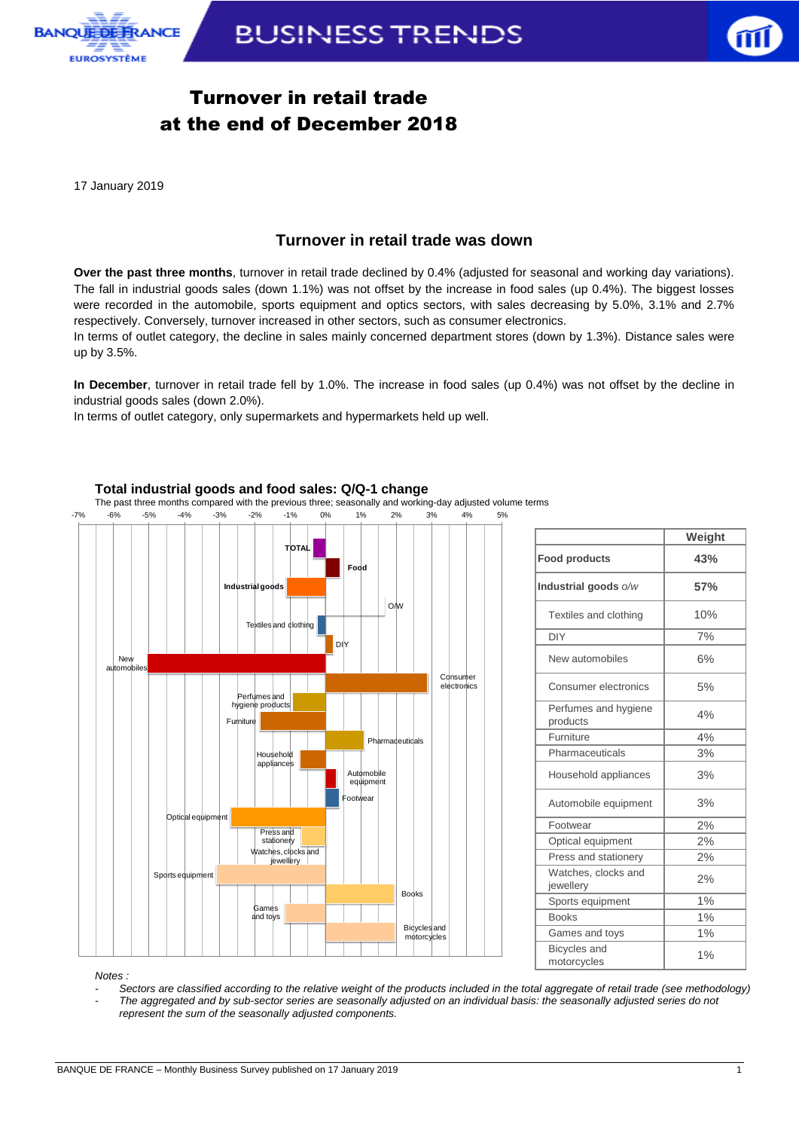



# Turnover in retail trade at the end of December 2018

17 January 2019

## **Turnover in retail trade was down**

**Over the past three months**, turnover in retail trade declined by 0.4% (adjusted for seasonal and working day variations). The fall in industrial goods sales (down 1.1%) was not offset by the increase in food sales (up 0.4%). The biggest losses were recorded in the automobile, sports equipment and optics sectors, with sales decreasing by 5.0%, 3.1% and 2.7% respectively. Conversely, turnover increased in other sectors, such as consumer electronics.

In terms of outlet category, the decline in sales mainly concerned department stores (down by 1.3%). Distance sales were up by 3.5%.

**In December**, turnover in retail trade fell by 1.0%. The increase in food sales (up 0.4%) was not offset by the decline in industrial goods sales (down 2.0%).

In terms of outlet category, only supermarkets and hypermarkets held up well.



|                                    | Weight |
|------------------------------------|--------|
| <b>Food products</b>               | 43%    |
| Industrial goods o/w               | 57%    |
| Textiles and clothing              | 10%    |
| <b>DIY</b>                         | 7%     |
| New automobiles                    | 6%     |
| Consumer electronics               | 5%     |
| Perfumes and hygiene<br>products   | 4%     |
| Furniture                          | 4%     |
| Pharmaceuticals                    | 3%     |
| Household appliances               | 3%     |
| Automobile equipment               | 3%     |
| Footwear                           | 2%     |
| Optical equipment                  | 2%     |
| Press and stationery               | 2%     |
| Watches, clocks and<br>jewellery   | 2%     |
| Sports equipment                   | 1%     |
| <b>Books</b>                       | 1%     |
| Games and toys                     | 1%     |
| <b>Bicycles</b> and<br>motorcycles | 1%     |

#### **Total industrial goods and food sales: Q/Q-1 change**

The past three months compared with the previous three; seasonally and working-day adjusted volume terms

*- Sectors are classified according to the relative weight of the products included in the total aggregate of retail trade (see methodology) - The aggregated and by sub-sector series are seasonally adjusted on an individual basis: the seasonally adjusted series do not* 

*represent the sum of the seasonally adjusted components.*

*Notes :*